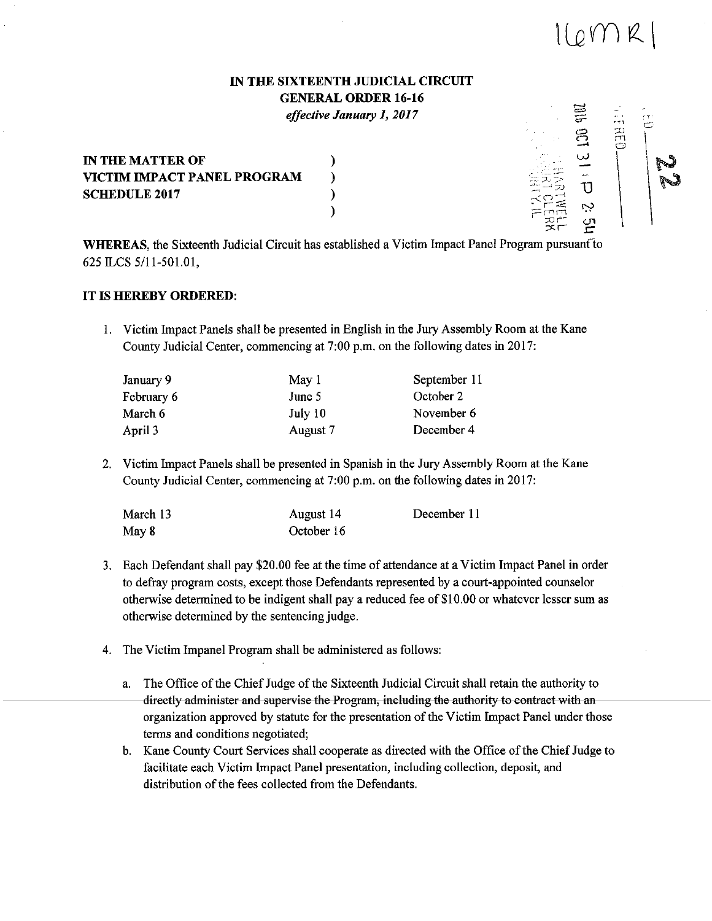## 1(0MR)

rn<br>20<br>0

\

 $\equiv$ 

Ņ

## IN THE SIXTEENTH JUDICIAL CIRCUIT GENERAL ORDER 16-16 *effective January 1, 2017*

IN THE MATTER OF VICTIM IMPACT PANEL PROGRAM SCHEDULE 2017

WHEREAS, the Sixteenth Judicial Circuit has established a Victim Impact Panel Program pursuant to 625 ILCS 5/11-501.01,

)

## IT IS HEREBY ORDERED:

and a great control of the state of the state of the state of the state of the state of the state of the state of the state of the state of the state of the state of the state of the state of the state of the state of the

<u>UHHHMMMMMMMMMMMM</u>

ł,

I. Victim Impact Panels shall be presented in English in the Jury Assembly Room at the Kane County Judicial Center, commencing at 7:00 p.m. on the following dates in 2017:

| January 9  | May 1    | September 11 |
|------------|----------|--------------|
| February 6 | June 5   | October 2    |
| March 6    | July 10  | November 6   |
| April 3    | August 7 | December 4   |

2. Victim Impact Panels shall be presented in Spanish in the Jury Assembly Room at the Kane County Judicial Center, commencing at 7:00 p.m. on the following dates in 2017:

| March 13 | August 14  | December 11 |
|----------|------------|-------------|
| May 8    | October 16 |             |

- 3. Each Defendant shall pay \$20.00 fee at the time of attendance at a Victim Impact Panel in order to defray program costs, except those Defendants represented by a court-appointed counselor otherwise determined to be indigent shall pay a reduced fee of\$10.00 or whatever lesser sum as otherwise determined by the sentencing judge.
- 4. The Victim Impanel Program shall be administered as follows:
	- a. The Office of the Chief Judge of the Sixteenth Judicial Circuit shall retain the authority to directly administer and supervise the Program, including the authority to contract with an organization approved by statute for the presentation of the Victim Impact Panel under those terms and conditions negotiated;
		- b. Kane County Court Services shall cooperate as directed with the Office of the Chief Judge to facilitate each Victim Impact Panel presentation, including collection, deposit, and distribution of the fees collected from the Defendants.